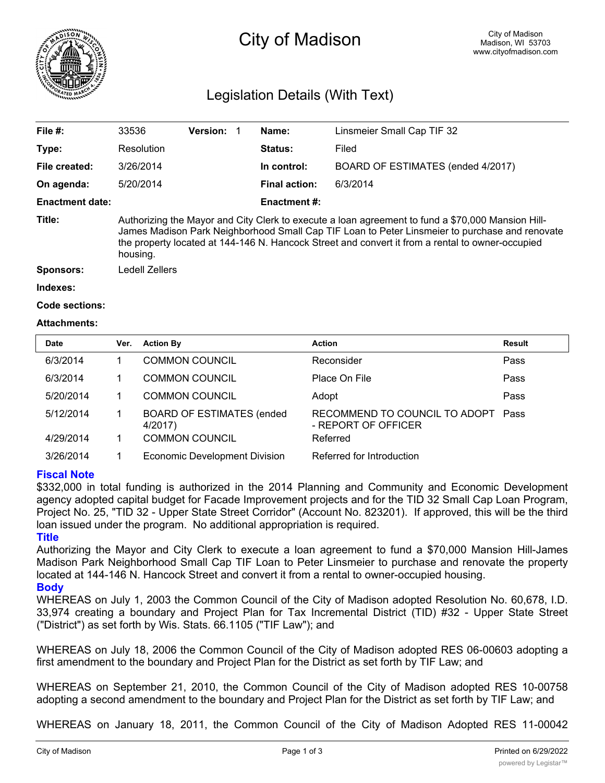

# City of Madison

## Legislation Details (With Text)

| File #:                | 33536                                                                                                                                                                                                                                                                                                               | <b>Version:</b> |  | Name:                | Linsmeier Small Cap TIF 32        |  |
|------------------------|---------------------------------------------------------------------------------------------------------------------------------------------------------------------------------------------------------------------------------------------------------------------------------------------------------------------|-----------------|--|----------------------|-----------------------------------|--|
| Type:                  | Resolution                                                                                                                                                                                                                                                                                                          |                 |  | <b>Status:</b>       | Filed                             |  |
| File created:          | 3/26/2014                                                                                                                                                                                                                                                                                                           |                 |  | In control:          | BOARD OF ESTIMATES (ended 4/2017) |  |
| On agenda:             | 5/20/2014                                                                                                                                                                                                                                                                                                           |                 |  | <b>Final action:</b> | 6/3/2014                          |  |
| <b>Enactment date:</b> |                                                                                                                                                                                                                                                                                                                     |                 |  | <b>Enactment #:</b>  |                                   |  |
| Title:                 | Authorizing the Mayor and City Clerk to execute a loan agreement to fund a \$70,000 Mansion Hill-<br>James Madison Park Neighborhood Small Cap TIF Loan to Peter Linsmeier to purchase and renovate<br>the property located at 144-146 N. Hancock Street and convert it from a rental to owner-occupied<br>housing. |                 |  |                      |                                   |  |
| <b>Sponsors:</b>       | Ledell Zellers                                                                                                                                                                                                                                                                                                      |                 |  |                      |                                   |  |
| Indexes:               |                                                                                                                                                                                                                                                                                                                     |                 |  |                      |                                   |  |

```
Code sections:
```
#### **Attachments:**

| <b>Date</b> | Ver. | <b>Action By</b>                            | <b>Action</b>                                        | Result |
|-------------|------|---------------------------------------------|------------------------------------------------------|--------|
| 6/3/2014    |      | <b>COMMON COUNCIL</b>                       | Reconsider                                           | Pass   |
| 6/3/2014    |      | <b>COMMON COUNCIL</b>                       | Place On File                                        | Pass   |
| 5/20/2014   |      | <b>COMMON COUNCIL</b>                       | Adopt                                                | Pass   |
| 5/12/2014   |      | <b>BOARD OF ESTIMATES (ended</b><br>4/2017) | RECOMMEND TO COUNCIL TO ADOPT<br>- REPORT OF OFFICER | Pass   |
| 4/29/2014   |      | <b>COMMON COUNCIL</b>                       | Referred                                             |        |
| 3/26/2014   |      | <b>Economic Development Division</b>        | Referred for Introduction                            |        |

#### **Fiscal Note**

\$332,000 in total funding is authorized in the 2014 Planning and Community and Economic Development agency adopted capital budget for Facade Improvement projects and for the TID 32 Small Cap Loan Program, Project No. 25, "TID 32 - Upper State Street Corridor" (Account No. 823201). If approved, this will be the third loan issued under the program. No additional appropriation is required.

### **Title**

Authorizing the Mayor and City Clerk to execute a loan agreement to fund a \$70,000 Mansion Hill-James Madison Park Neighborhood Small Cap TIF Loan to Peter Linsmeier to purchase and renovate the property located at 144-146 N. Hancock Street and convert it from a rental to owner-occupied housing.

### **Body**

WHEREAS on July 1, 2003 the Common Council of the City of Madison adopted Resolution No. 60,678, I.D. 33,974 creating a boundary and Project Plan for Tax Incremental District (TID) #32 - Upper State Street ("District") as set forth by Wis. Stats. 66.1105 ("TIF Law"); and

WHEREAS on July 18, 2006 the Common Council of the City of Madison adopted RES 06-00603 adopting a first amendment to the boundary and Project Plan for the District as set forth by TIF Law; and

WHEREAS on September 21, 2010, the Common Council of the City of Madison adopted RES 10-00758 adopting a second amendment to the boundary and Project Plan for the District as set forth by TIF Law; and

WHEREAS on January 18, 2011, the Common Council of the City of Madison Adopted RES 11-00042 authorizing the creation of a Mansion  $\mathcal{A}$  Mansion  $\mathcal{A}$  and  $\mathcal{A}$   $\mathcal{A}$   $\mathcal{A}$   $\mathcal{A}$   $\mathcal{A}$   $\mathcal{A}$   $\mathcal{A}$   $\mathcal{A}$   $\mathcal{A}$   $\mathcal{A}$   $\mathcal{A}$   $\mathcal{A}$   $\mathcal{A}$   $\mathcal{A}$   $\mathcal{A}$   $\mathcal{A}$   $\mathcal{A}$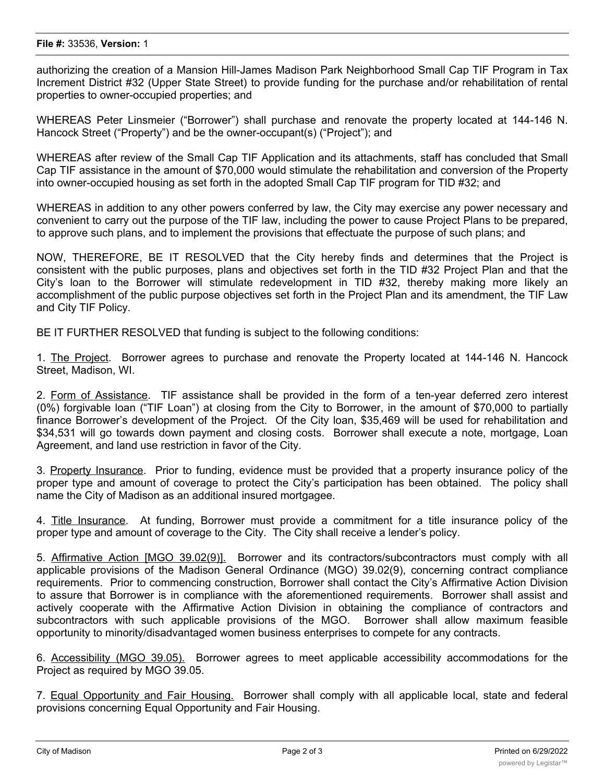authorizing the creation of a Mansion Hill-James Madison Park Neighborhood Small Cap TIF Program in Tax Increment District #32 (Upper State Street) to provide funding for the purchase and/or rehabilitation of rental properties to owner-occupied properties; and

WHEREAS Peter Linsmeier ("Borrower") shall purchase and renovate the property located at 144-146 N. Hancock Street ("Property") and be the owner-occupant(s) ("Project"); and

WHEREAS after review of the Small Cap TIF Application and its attachments, staff has concluded that Small Cap TIF assistance in the amount of \$70,000 would stimulate the rehabilitation and conversion of the Property into owner-occupied housing as set forth in the adopted Small Cap TIF program for TID #32; and

WHEREAS in addition to any other powers conferred by law, the City may exercise any power necessary and convenient to carry out the purpose of the TIF law, including the power to cause Project Plans to be prepared, to approve such plans, and to implement the provisions that effectuate the purpose of such plans; and

NOW, THEREFORE, BE IT RESOLVED that the City hereby finds and determines that the Project is consistent with the public purposes, plans and objectives set forth in the TID #32 Project Plan and that the City's loan to the Borrower will stimulate redevelopment in TID #32, thereby making more likely an accomplishment of the public purpose objectives set forth in the Project Plan and its amendment, the TIF Law and City TIF Policy.

BE IT FURTHER RESOLVED that funding is subject to the following conditions:

1. The Project. Borrower agrees to purchase and renovate the Property located at 144-146 N. Hancock Street, Madison, WI.

2. Form of Assistance. TIF assistance shall be provided in the form of a ten-year deferred zero interest (0%) forgivable loan ("TIF Loan") at closing from the City to Borrower, in the amount of \$70,000 to partially finance Borrower's development of the Project. Of the City loan, \$35,469 will be used for rehabilitation and \$34,531 will go towards down payment and closing costs. Borrower shall execute a note, mortgage, Loan Agreement, and land use restriction in favor of the City.

3. Property Insurance. Prior to funding, evidence must be provided that a property insurance policy of the proper type and amount of coverage to protect the City's participation has been obtained. The policy shall name the City of Madison as an additional insured mortgagee.

4. Title Insurance. At funding, Borrower must provide a commitment for a title insurance policy of the proper type and amount of coverage to the City. The City shall receive a lender's policy.

5. Affirmative Action [MGO 39.02(9)]. Borrower and its contractors/subcontractors must comply with all applicable provisions of the Madison General Ordinance (MGO) 39.02(9), concerning contract compliance requirements. Prior to commencing construction, Borrower shall contact the City's Affirmative Action Division to assure that Borrower is in compliance with the aforementioned requirements. Borrower shall assist and actively cooperate with the Affirmative Action Division in obtaining the compliance of contractors and subcontractors with such applicable provisions of the MGO. Borrower shall allow maximum feasible opportunity to minority/disadvantaged women business enterprises to compete for any contracts.

6. Accessibility (MGO 39.05). Borrower agrees to meet applicable accessibility accommodations for the Project as required by MGO 39.05.

7. Equal Opportunity and Fair Housing. Borrower shall comply with all applicable local, state and federal provisions concerning Equal Opportunity and Fair Housing.